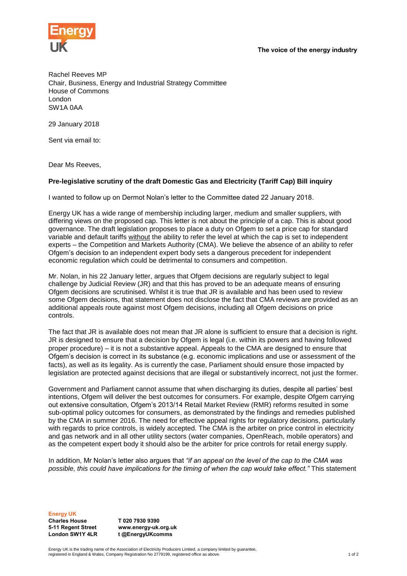The voice of the energy industry



Rachel Reeves MP Chair, Business, Energy and Industrial Strategy Committee House of Commons London SW1A 0AA

29 January 2018

Sent via email to:

Dear Ms Reeves,

## **Pre-legislative scrutiny of the draft Domestic Gas and Electricity (Tariff Cap) Bill inquiry**

I wanted to follow up on Dermot Nolan's letter to the Committee dated 22 January 2018.

Energy UK has a wide range of membership including larger, medium and smaller suppliers, with differing views on the proposed cap. This letter is not about the principle of a cap. This is about good governance. The draft legislation proposes to place a duty on Ofgem to set a price cap for standard variable and default tariffs without the ability to refer the level at which the cap is set to independent experts – the Competition and Markets Authority (CMA). We believe the absence of an ability to refer Ofgem's decision to an independent expert body sets a dangerous precedent for independent economic regulation which could be detrimental to consumers and competition.

Mr. Nolan, in his 22 January letter, argues that Ofgem decisions are regularly subject to legal challenge by Judicial Review (JR) and that this has proved to be an adequate means of ensuring Ofgem decisions are scrutinised. Whilst it is true that JR is available and has been used to review some Ofgem decisions, that statement does not disclose the fact that CMA reviews are provided as an additional appeals route against most Ofgem decisions, including all Ofgem decisions on price controls.

The fact that JR is available does not mean that JR alone is sufficient to ensure that a decision is right. JR is designed to ensure that a decision by Ofgem is legal (i.e. within its powers and having followed proper procedure) – it is not a substantive appeal. Appeals to the CMA are designed to ensure that Ofgem's decision is correct in its substance (e.g. economic implications and use or assessment of the facts), as well as its legality. As is currently the case, Parliament should ensure those impacted by legislation are protected against decisions that are illegal or substantively incorrect, not just the former.

Government and Parliament cannot assume that when discharging its duties, despite all parties' best intentions, Ofgem will deliver the best outcomes for consumers. For example, despite Ofgem carrying out extensive consultation, Ofgem's 2013/14 Retail Market Review (RMR) reforms resulted in some sub-optimal policy outcomes for consumers, as demonstrated by the findings and remedies published by the CMA in summer 2016. The need for effective appeal rights for regulatory decisions, particularly with regards to price controls, is widely accepted. The CMA is the arbiter on price control in electricity and gas network and in all other utility sectors (water companies, OpenReach, mobile operators) and as the competent expert body it should also be the arbiter for price controls for retail energy supply.

In addition, Mr Nolan's letter also argues that *"if an appeal on the level of the cap to the CMA was possible, this could have implications for the timing of when the cap would take effect."* This statement

Energy UK Charles House 5-11 Regent Street London SW1Y 4LR

T 020 7930 9390 www.energy-uk.org.uk t @EnergyUKcomms

Energy UK is the trading name of the Association of Electricity Producers Limited, a company limited by guarantee, registered in England & Wales, Company Registration No 2779199, registered office as above. 1 of 2